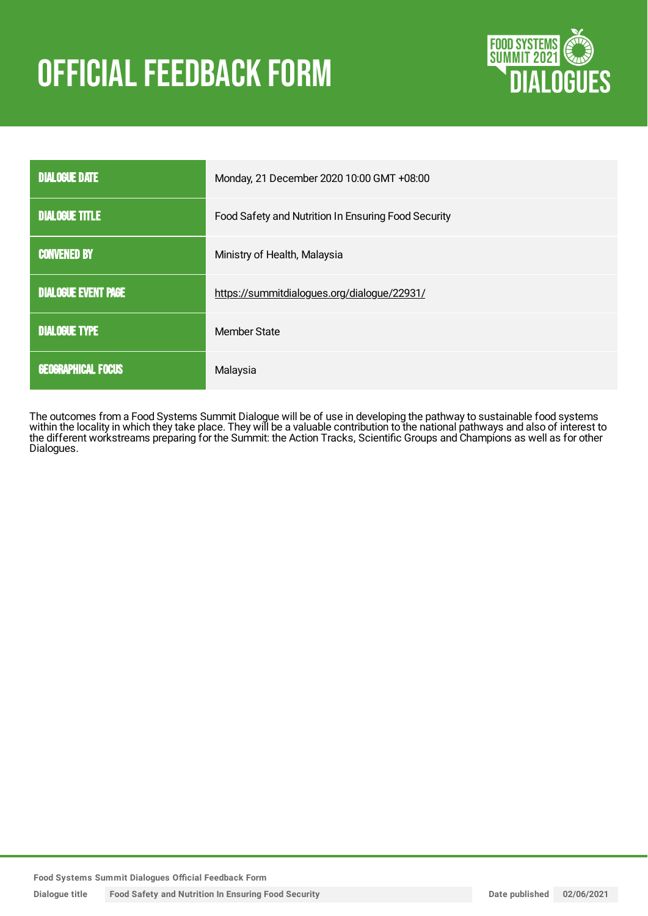# **OFFICIAL FEEDBACK FORM**



| <b>DIALOGUE DATE</b>       | Monday, 21 December 2020 10:00 GMT +08:00           |
|----------------------------|-----------------------------------------------------|
| <b>DIALOGUE TITLE</b>      | Food Safety and Nutrition In Ensuring Food Security |
| <b>CONVENED BY</b>         | Ministry of Health, Malaysia                        |
| <b>DIALOGUE EVENT PAGE</b> | https://summitdialogues.org/dialogue/22931/         |
| <b>DIALOGUE TYPE</b>       | Member State                                        |
| <b>GEOGRAPHICAL FOCUS</b>  | Malaysia                                            |

The outcomes from a Food Systems Summit Dialogue will be of use in developing the pathway to sustainable food systems within the locality in which they take place. They will be a valuable contribution to the national pathways and also of interest to the different workstreams preparing for the Summit: the Action Tracks, Scientific Groups and Champions as well as for other Dialogues.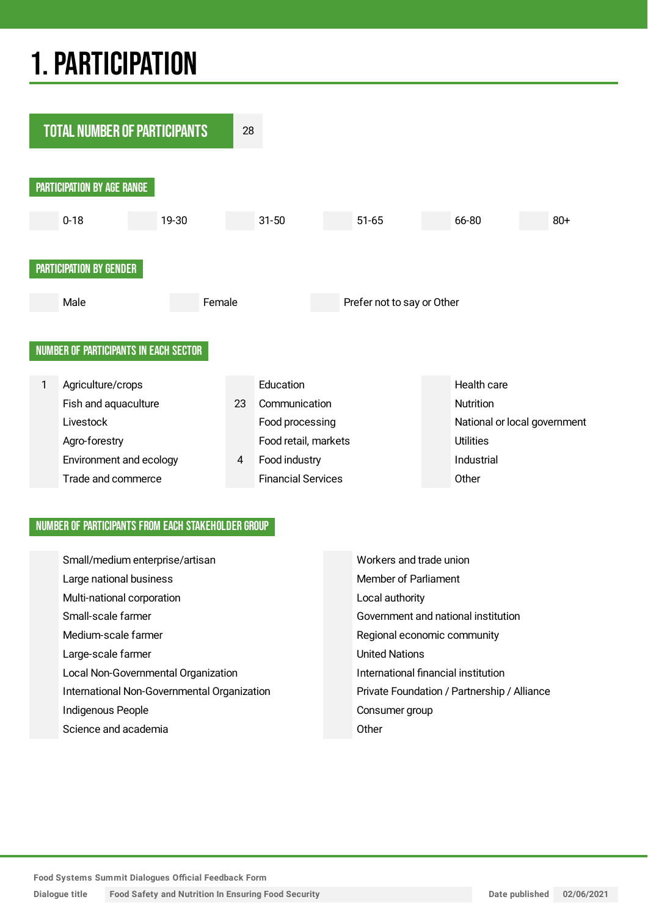## 1.PARTICIPATION



### NUMBER OF PARTICIPANTS FROM EACH STAKEHOLDER GROUP

| Small/medium enterprise/artisan             | Workers and trade union                     |
|---------------------------------------------|---------------------------------------------|
| Large national business                     | Member of Parliament                        |
| Multi-national corporation                  | Local authority                             |
| Small-scale farmer                          | Government and national institution         |
| Medium-scale farmer                         | Regional economic community                 |
| Large-scale farmer                          | <b>United Nations</b>                       |
| Local Non-Governmental Organization         | International financial institution         |
| International Non-Governmental Organization | Private Foundation / Partnership / Alliance |
| Indigenous People                           | Consumer group                              |
| Science and academia                        | Other                                       |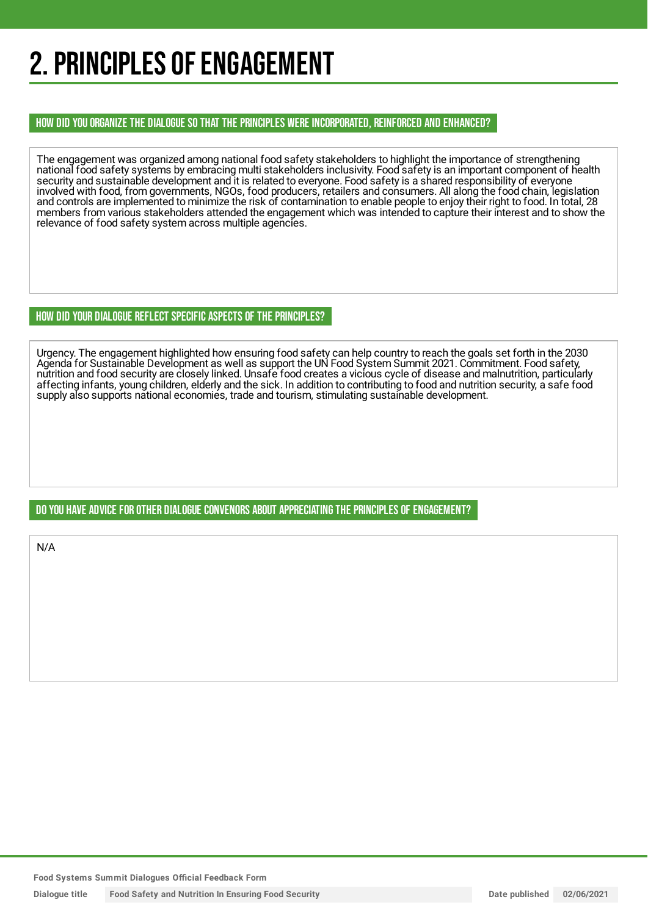## 2. PRINCIPLES OF ENGAGEMENT

### HOW DID YOU ORGANIZE THE DIALOGUE SO THAT THE PRINCIPLES WERE INCORPORATED, REINFORCED AND ENHANCED?

The engagement was organized among national food safety stakeholders to highlight the importance of strengthening national food safety systems by embracing multi stakeholders inclusivity. Food safety is an important component of health security and sustainable development and it is related to everyone. Food safety is a shared responsibility of everyone involved with food, from governments, NGOs, food producers, retailers and consumers. All along the food chain, legislation and controls are implemented to minimize the risk of contamination to enable people to enjoy their right to food. In total, 28 members from various stakeholders attended the engagement which was intended to capture their interest and to show the relevance of food safety system across multiple agencies.

### HOW DID YOUR DIALOGUE REFLECT SPECIFIC ASPECTS OF THE PRINCIPLES?

Urgency. The engagement highlighted how ensuring food safety can help country to reach the goals set forth in the 2030 Agenda for Sustainable Development as well as support the UN Food System Summit 2021. Commitment. Food safety, nutrition and food security are closely linked. Unsafe food creates a vicious cycle of disease and malnutrition, particularly affecting infants, young children, elderly and the sick. In addition to contributing to food and nutrition security, a safe food supply also supports national economies, trade and tourism, stimulating sustainable development.

## DO YOU HAVE ADVICE FOR OTHER DIALOGUE CONVENORS ABOUT APPRECIATINGTHE PRINCIPLES OF ENGAGEMENT?

N/A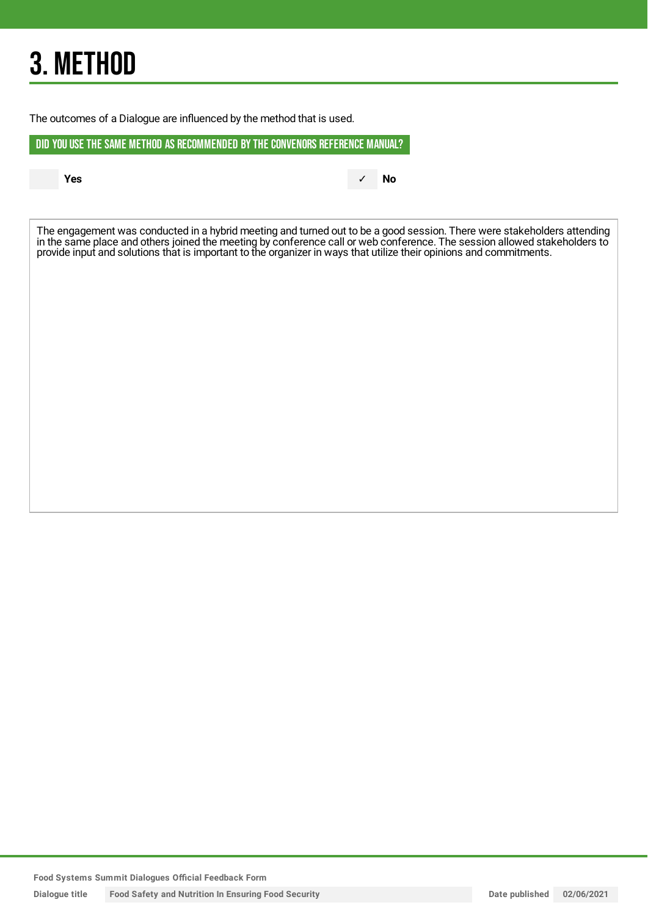## 3. METHOD

The outcomes of a Dialogue are influenced by the method that is used.

DID YOU USE THE SAME METHOD AS RECOMMENDED BYTHE CONVENORS REFERENCE MANUAL?

**Yes** ✓ **No**

The engagement was conducted in a hybrid meeting and turned out to be a good session. There were stakeholders attending in the same place and others joined the meeting by conference call or web conference. The session allowed stakeholders to provide input and solutions that is important to the organizer in ways that utilize their opinions and commitments.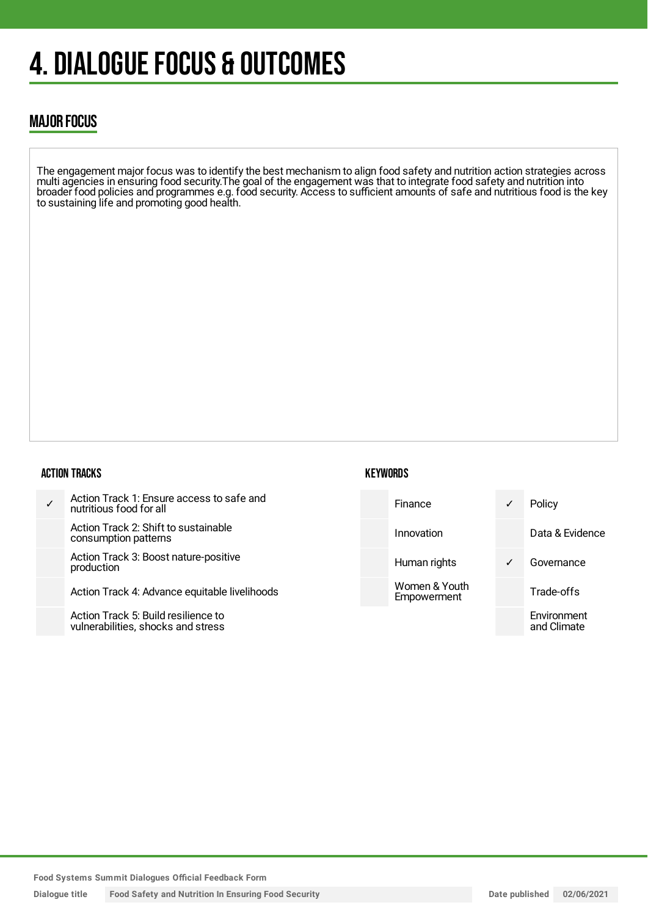## 4. DIALOGUE FOCUS & OUTCOMES

## MAJOR FOCUS

The engagement major focus was to identify the best mechanism to align food safety and nutrition action strategies across multi agencies in ensuring food security.The goal of the engagement was that to integrate food safety and nutrition into broader food policies and programmes e.g. food security. Access to sufficient amounts of safe and nutritious food is the key to sustaining life and promoting good health.

#### ACTION TRACKS

| $\checkmark$ | Action Track 1: Ensure access to safe and<br>nutritious food for all |
|--------------|----------------------------------------------------------------------|
|              | Action Track 2: Shift to sustainable<br>consumption patterns         |
|              | Action Track 3: Boost nature-positive<br>production                  |
|              | Action Track 4: Advance equitable livelihoods                        |
|              | Action Trook E: Duild resiliance to                                  |

Action Track 5: Build resilience to vulnerabilities, shocks and stress

### **KEYWORDS**

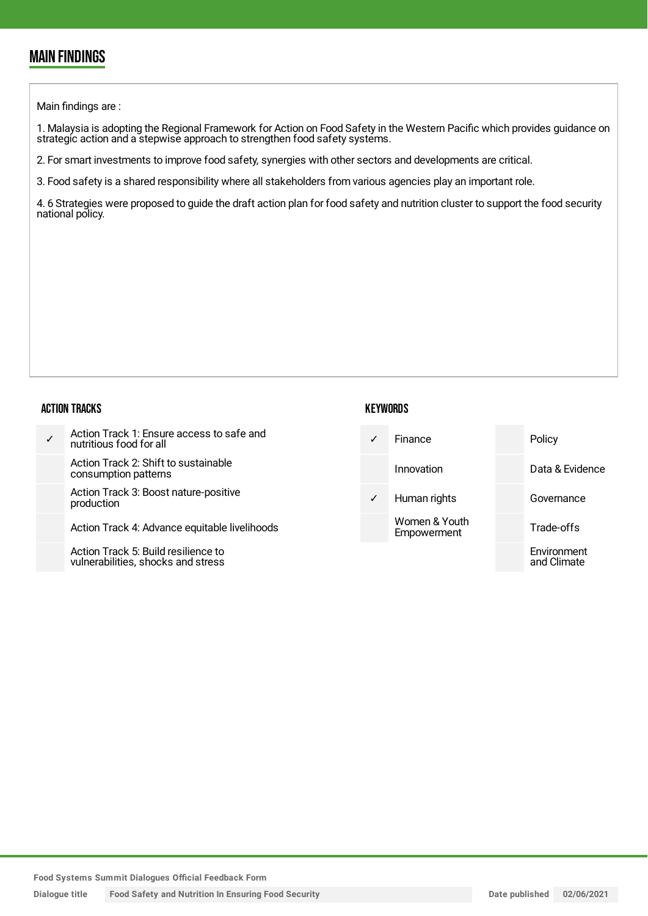## MAIN FINDINGS

Main findings are :

1. Malaysia is adopting the Regional Framework for Action on Food Safety in the Western Pacific which provides guidance on strategic action and a stepwise approach to strengthen food safety systems.

2. For smart investments to improve food safety, synergies with other sectors and developments are critical.

3. Food safety is a shared responsibility where all stakeholders from various agencies play an important role.

4. 6 Strategies were proposed to guide the draft action plan for food safety and nutrition cluster to support the food security national policy.

#### ACTION TRACKS

|              |                                                                           | .            |                              |  |                            |
|--------------|---------------------------------------------------------------------------|--------------|------------------------------|--|----------------------------|
| $\checkmark$ | Action Track 1: Ensure access to safe and<br>nutritious food for all      | $\checkmark$ | Finance                      |  | Policy                     |
|              | Action Track 2: Shift to sustainable<br>consumption patterns              |              | Innovation                   |  | Data & Evidence            |
|              | Action Track 3: Boost nature-positive<br>production                       | $\checkmark$ | Human rights                 |  | Governance                 |
|              | Action Track 4: Advance equitable livelihoods                             |              | Women & Youth<br>Empowerment |  | Trade-offs                 |
|              | Action Track 5: Build resilience to<br>vulnerabilities, shocks and stress |              |                              |  | Environment<br>and Climate |

**KEYWORDS** 

**Food Systems Summit Dialogues Official Feedback Form**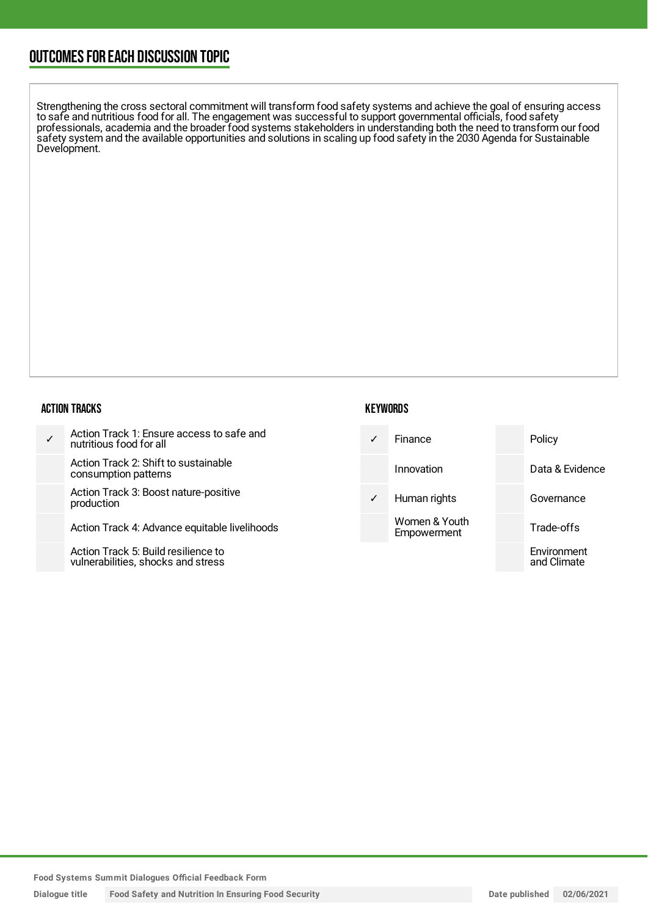## OUTCOMESFOR EACH DISCUSSION TOPIC

Strengthening the cross sectoral commitment will transform food safety systems and achieve the goal of ensuring access to safe and nutritious food for all. The engagement was successful to support governmental officials, food safety professionals, academia and the broader food systems stakeholders in understanding both the need to transform our food safety system and the available opportunities and solutions in scaling up food safety in the 2030 Agenda for Sustainable Development.

#### ACTION TRACKS

| Action Track 1: Ensure access to safe and<br>nutritious food for all      | $\sqrt{ }$   | Finance                      | Policy                     |
|---------------------------------------------------------------------------|--------------|------------------------------|----------------------------|
| Action Track 2: Shift to sustainable<br>consumption patterns              |              | Innovation                   | Data & Evidence            |
| Action Track 3: Boost nature-positive<br>production                       | $\checkmark$ | Human rights                 | Governance                 |
| Action Track 4: Advance equitable livelihoods                             |              | Women & Youth<br>Empowerment | Trade-offs                 |
| Action Track 5: Build resilience to<br>vulnerabilities, shocks and stress |              |                              | Environment<br>and Climate |

**KEYWORDS** 

**Food Systems Summit Dialogues Official Feedback Form**